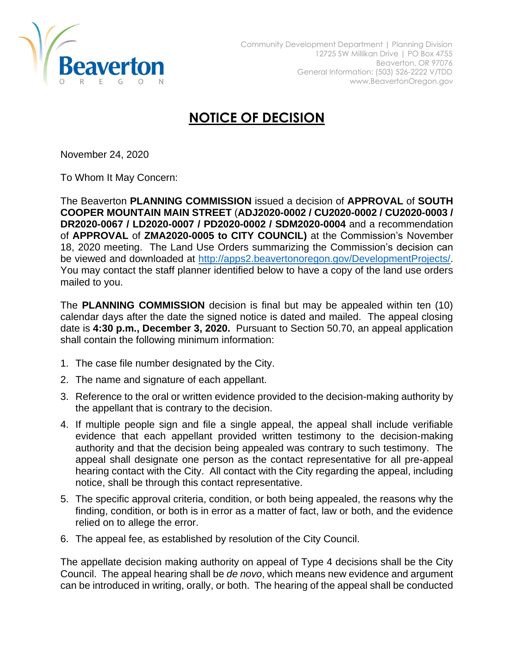

## **NOTICE OF DECISION**

November 24, 2020

To Whom It May Concern:

The Beaverton **PLANNING COMMISSION** issued a decision of **APPROVAL** of **SOUTH COOPER MOUNTAIN MAIN STREET** (**ADJ2020-0002 / CU2020-0002 / CU2020-0003 / DR2020-0067 / LD2020-0007 / PD2020-0002 / SDM2020-0004** and a recommendation of **APPROVAL** of **ZMA2020-0005 to CITY COUNCIL)** at the Commission's November 18, 2020 meeting. The Land Use Orders summarizing the Commission's decision can be viewed and downloaded at [http://apps2.beavertonoregon.gov/DevelopmentProjects/.](http://apps2.beavertonoregon.gov/DevelopmentProjects/) You may contact the staff planner identified below to have a copy of the land use orders mailed to you.

The **PLANNING COMMISSION** decision is final but may be appealed within ten (10) calendar days after the date the signed notice is dated and mailed. The appeal closing date is **4:30 p.m., December 3, 2020.** Pursuant to Section 50.70, an appeal application shall contain the following minimum information:

- 1. The case file number designated by the City.
- 2. The name and signature of each appellant.
- 3. Reference to the oral or written evidence provided to the decision-making authority by the appellant that is contrary to the decision.
- 4. If multiple people sign and file a single appeal, the appeal shall include verifiable evidence that each appellant provided written testimony to the decision-making authority and that the decision being appealed was contrary to such testimony. The appeal shall designate one person as the contact representative for all pre-appeal hearing contact with the City. All contact with the City regarding the appeal, including notice, shall be through this contact representative.
- 5. The specific approval criteria, condition, or both being appealed, the reasons why the finding, condition, or both is in error as a matter of fact, law or both, and the evidence relied on to allege the error.
- 6. The appeal fee, as established by resolution of the City Council.

The appellate decision making authority on appeal of Type 4 decisions shall be the City Council. The appeal hearing shall be *de novo*, which means new evidence and argument can be introduced in writing, orally, or both. The hearing of the appeal shall be conducted